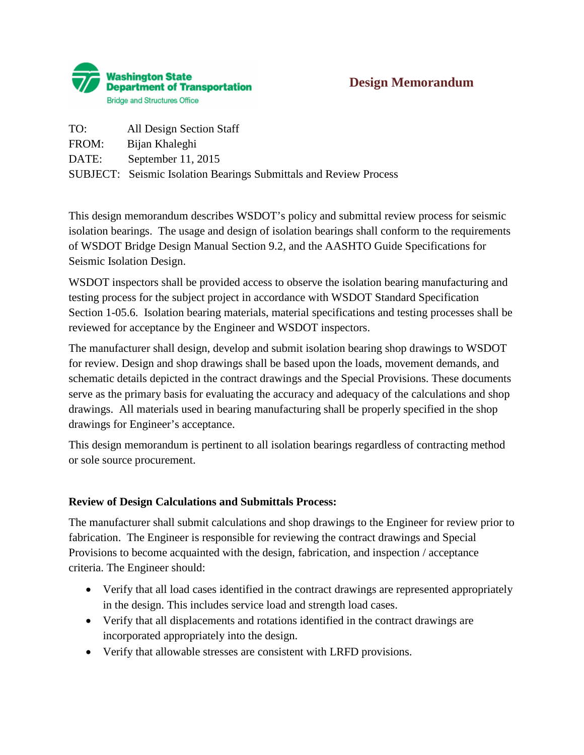

## **Design Memorandum**

| TO:   | All Design Section Staff                                                 |
|-------|--------------------------------------------------------------------------|
| FROM: | Bijan Khaleghi                                                           |
| DATE: | September $11, 2015$                                                     |
|       | <b>SUBJECT:</b> Seismic Isolation Bearings Submittals and Review Process |

This design memorandum describes WSDOT's policy and submittal review process for seismic isolation bearings. The usage and design of isolation bearings shall conform to the requirements of WSDOT Bridge Design Manual Section 9.2, and the AASHTO Guide Specifications for Seismic Isolation Design.

WSDOT inspectors shall be provided access to observe the isolation bearing manufacturing and testing process for the subject project in accordance with WSDOT Standard Specification Section 1-05.6. Isolation bearing materials, material specifications and testing processes shall be reviewed for acceptance by the Engineer and WSDOT inspectors.

The manufacturer shall design, develop and submit isolation bearing shop drawings to WSDOT for review. Design and shop drawings shall be based upon the loads, movement demands, and schematic details depicted in the contract drawings and the Special Provisions. These documents serve as the primary basis for evaluating the accuracy and adequacy of the calculations and shop drawings. All materials used in bearing manufacturing shall be properly specified in the shop drawings for Engineer's acceptance.

This design memorandum is pertinent to all isolation bearings regardless of contracting method or sole source procurement.

## **Review of Design Calculations and Submittals Process:**

The manufacturer shall submit calculations and shop drawings to the Engineer for review prior to fabrication. The Engineer is responsible for reviewing the contract drawings and Special Provisions to become acquainted with the design, fabrication, and inspection / acceptance criteria. The Engineer should:

- Verify that all load cases identified in the contract drawings are represented appropriately in the design. This includes service load and strength load cases.
- Verify that all displacements and rotations identified in the contract drawings are incorporated appropriately into the design.
- Verify that allowable stresses are consistent with LRFD provisions.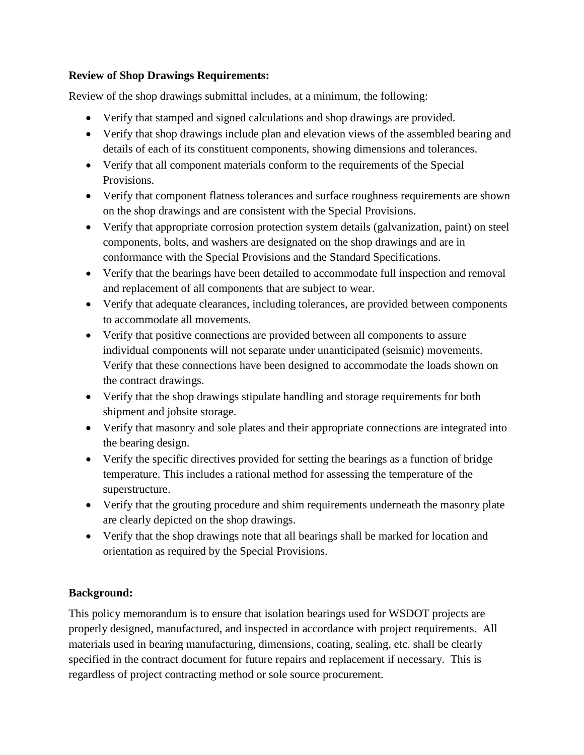## **Review of Shop Drawings Requirements:**

Review of the shop drawings submittal includes, at a minimum, the following:

- Verify that stamped and signed calculations and shop drawings are provided.
- Verify that shop drawings include plan and elevation views of the assembled bearing and details of each of its constituent components, showing dimensions and tolerances.
- Verify that all component materials conform to the requirements of the Special Provisions.
- Verify that component flatness tolerances and surface roughness requirements are shown on the shop drawings and are consistent with the Special Provisions.
- Verify that appropriate corrosion protection system details (galvanization, paint) on steel components, bolts, and washers are designated on the shop drawings and are in conformance with the Special Provisions and the Standard Specifications.
- Verify that the bearings have been detailed to accommodate full inspection and removal and replacement of all components that are subject to wear.
- Verify that adequate clearances, including tolerances, are provided between components to accommodate all movements.
- Verify that positive connections are provided between all components to assure individual components will not separate under unanticipated (seismic) movements. Verify that these connections have been designed to accommodate the loads shown on the contract drawings.
- Verify that the shop drawings stipulate handling and storage requirements for both shipment and jobsite storage.
- Verify that masonry and sole plates and their appropriate connections are integrated into the bearing design.
- Verify the specific directives provided for setting the bearings as a function of bridge temperature. This includes a rational method for assessing the temperature of the superstructure.
- Verify that the grouting procedure and shim requirements underneath the masonry plate are clearly depicted on the shop drawings.
- Verify that the shop drawings note that all bearings shall be marked for location and orientation as required by the Special Provisions.

## **Background:**

This policy memorandum is to ensure that isolation bearings used for WSDOT projects are properly designed, manufactured, and inspected in accordance with project requirements. All materials used in bearing manufacturing, dimensions, coating, sealing, etc. shall be clearly specified in the contract document for future repairs and replacement if necessary. This is regardless of project contracting method or sole source procurement.